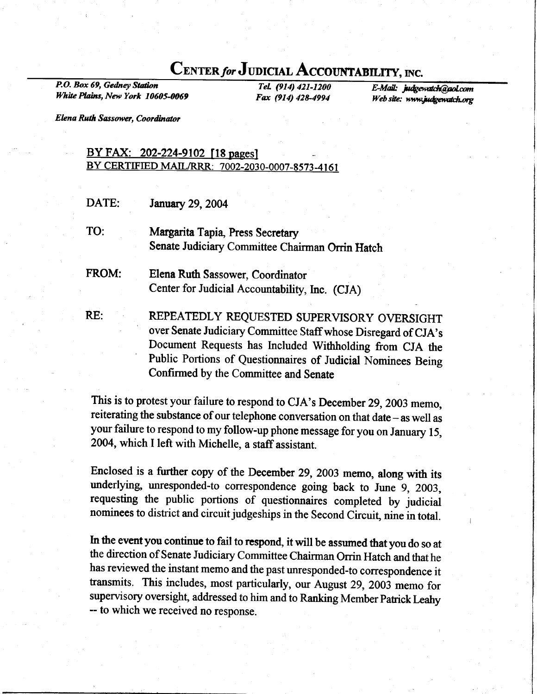## CENTER for JUDICIAL ACCOUNTABILITY, INC.

P.O. Box 69, Gedney Station White Plains, New York 10605-0069

TeL (914) 421-1200 Fax (914) 42&4994 E-Mail: judgewatch@aol.com Web site: www.judgewatch.org

**Elena Ruth Sassower, Coordinator** 

## BY FAX: 202-224-9102 [18 pages] BY CERTIFIED MAIL/RRR: 7002-2030-0007-8573-4161

DATE: January 29,2004

TO: Margarita Tapia, Press Secretary Senate Judiciary Committee Chairman Orrin Hatch

FROM: Elena Ruth Sassower, Coordinator Center for Judicial Accountability, Inc. (CJA)

RE: REPEATEDLY REQUESTED SUPERVISORY OVERSIGHT over Senate Judiciary Committee Staff whose Disregard of CJA's Document Requests has Included Withholding from CJA the Public Portions of Questionnaires of Judicial Nominees Being Confirmed by the Committee and Senate

This is to protest your failure to respond to CJA's December 29, 2003 memo, reiterating the substance of our telephone conversation on that date - as well as your failure to respond to my follow-up phone message for you on January 15, 2004, which I left with Michelle, a staff assistant.

Enclosed is a further copy of the December 29, 2003 memo, along with its underlying, unresponded-to correspondence going back to June 9, 2003, requesting the public portions of questionnaires completed by judicial nominees to district and circuit judgeships in the Second Circuit, nine in total.

In the event you continue to fail to respond, it will be assumed that you do so at the direction of Senate Judiciary Committee Chairman Orrin Hatch and that he has reviewed the instant memo and the past unresponded-to correspondence it fransmits. This includes, most particularly, our August 29,2003 memo for supervisory oversight, addressed to him and to Ranking Member Patrick Leahy -- to which we received no response.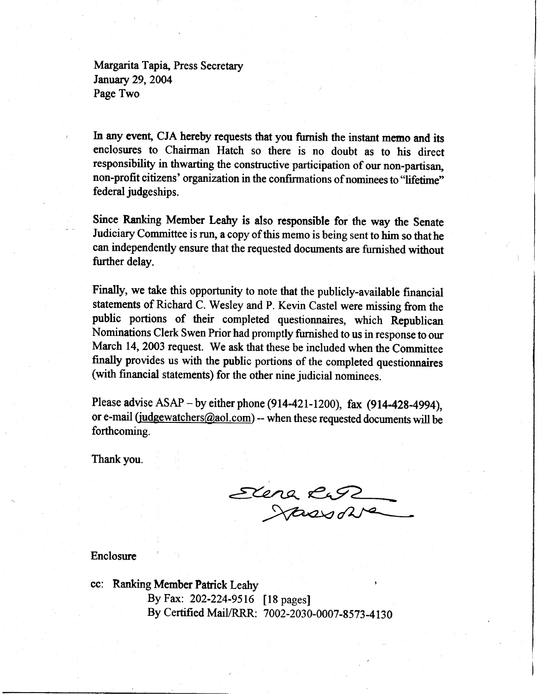Margarita Tapia, Press Secretary January 29,2004 Page Two

In any event, CJA hereby requests that you furnish the instant memo and its enclosures to Chairman Hatch so there is no doubt as to his direct responsibility in thwarting the constructive participation of our non-partisan, non-profit citizens' organization in the confirmations of nominees to "lifetime" federal judgeships.

Since Ranking Member Leahy is also responsible for the way the Senate Judiciary Committee is run, a copy of this memo is being sent to him so thathe can independenfly ensure that the requested docunents are furnished without further delay.

Finally, we take this opportunity to note that the publicly-available financial statements of Richard C. Wesley and P. Kevin Castel were missing from the public portions of their completed questionnaires, which Republican Nominations Clerk Swen Prior had promptly furnished to us in response to our March 14, 2003 request. We ask that these be included when the Committee fioally provides us with the public portions of the completed questionnaires (with financial statements) for the other nine judicial nominees.

Please advise  $ASAP - by$  either phone (914-421-1200), fax (914-428-4994), or e-mail (judgewatchers@aol.com) -- when these requested documents will be forthcoming.

Thank you.

Elene itass d

Enclosure

cc: Ranking Member Pafiick Leahy By Fax: 202-224-9516 [18 pages] By Certified Mail/RRR: 7002-2030-0007-8573-4130